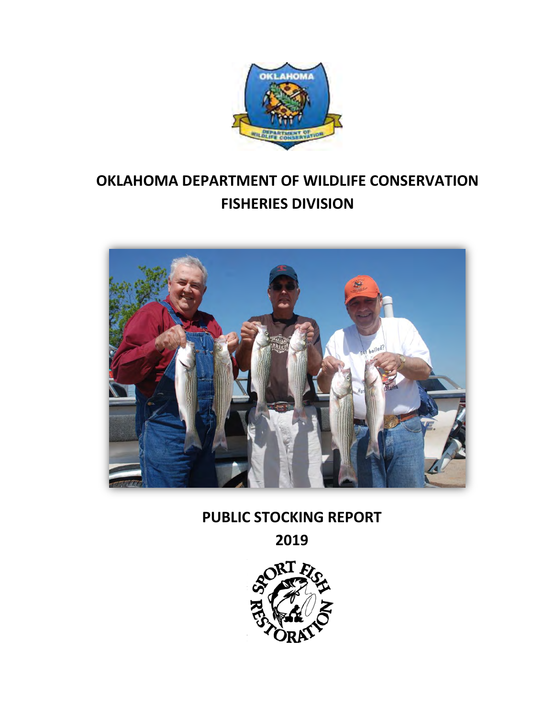

# **OKLAHOMA DEPARTMENT OF WILDLIFE CONSERVATION FISHERIES DIVISION**



# **PUBLIC STOCKING REPORT**

**2019**

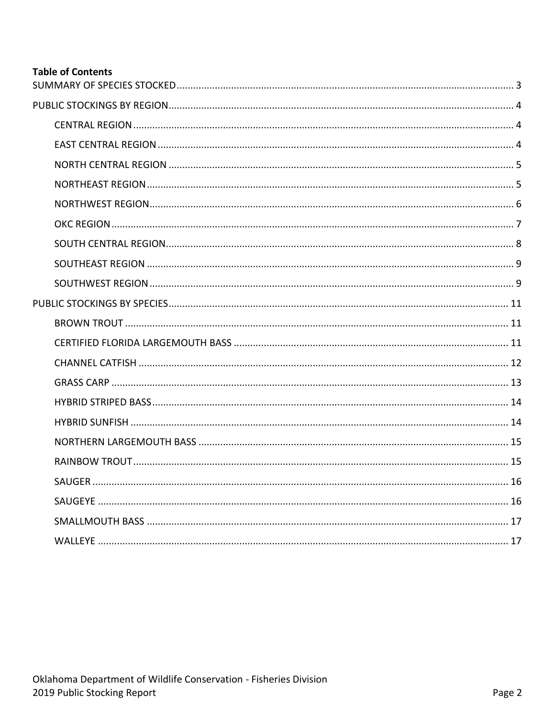## **Table of Contents**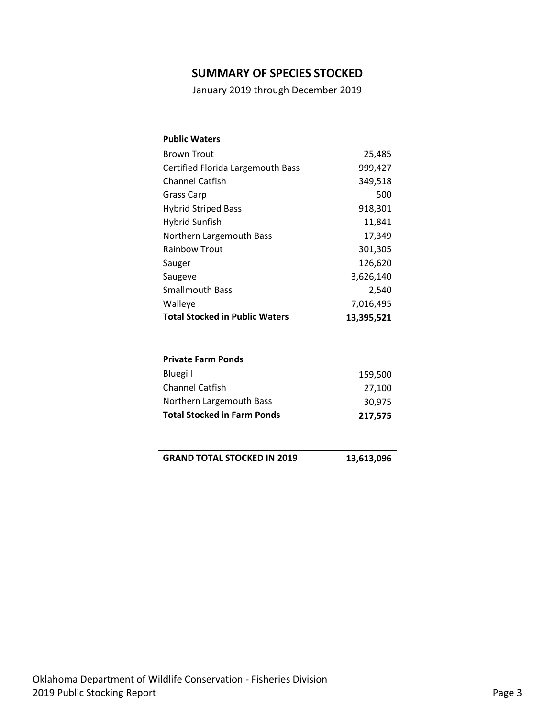## **SUMMARY OF SPECIES STOCKED**

January 2019 through December 2019

<span id="page-2-0"></span>

| <b>Public Waters</b>                  |            |
|---------------------------------------|------------|
| <b>Brown Trout</b>                    | 25,485     |
| Certified Florida Largemouth Bass     | 999,427    |
| Channel Catfish                       | 349,518    |
| Grass Carp                            | 500        |
| <b>Hybrid Striped Bass</b>            | 918,301    |
| Hybrid Sunfish                        | 11,841     |
| Northern Largemouth Bass              | 17,349     |
| <b>Rainbow Trout</b>                  | 301,305    |
| Sauger                                | 126,620    |
| Saugeye                               | 3,626,140  |
| <b>Smallmouth Bass</b>                | 2,540      |
| Walleye                               | 7,016,495  |
| <b>Total Stocked in Public Waters</b> | 13,395,521 |

| <b>Private Farm Ponds</b>          |         |
|------------------------------------|---------|
| Bluegill                           | 159,500 |
| <b>Channel Catfish</b>             | 27,100  |
| Northern Largemouth Bass           | 30,975  |
| <b>Total Stocked in Farm Ponds</b> | 217,575 |

**GRAND TOTAL STOCKED IN 2019 13,613,096**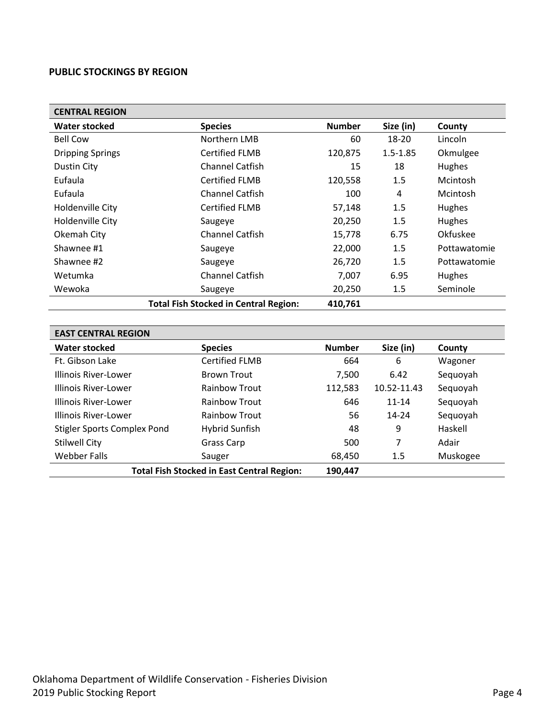#### <span id="page-3-0"></span>**PUBLIC STOCKINGS BY REGION**

<span id="page-3-1"></span>

| <b>CENTRAL REGION</b>   |                                              |               |              |              |  |
|-------------------------|----------------------------------------------|---------------|--------------|--------------|--|
| Water stocked           | <b>Species</b>                               | <b>Number</b> | Size (in)    | County       |  |
| <b>Bell Cow</b>         | Northern LMB                                 | 60            | 18-20        | Lincoln      |  |
| <b>Dripping Springs</b> | <b>Certified FLMB</b>                        | 120,875       | $1.5 - 1.85$ | Okmulgee     |  |
| <b>Dustin City</b>      | <b>Channel Catfish</b>                       | 15            | 18           | Hughes       |  |
| Eufaula                 | <b>Certified FLMB</b>                        | 120,558       | 1.5          | Mcintosh     |  |
| Eufaula                 | <b>Channel Catfish</b>                       | 100           | 4            | Mcintosh     |  |
| Holdenville City        | <b>Certified FLMB</b>                        | 57,148        | 1.5          | Hughes       |  |
| Holdenville City        | Saugeye                                      | 20,250        | 1.5          | Hughes       |  |
| Okemah City             | Channel Catfish                              | 15,778        | 6.75         | Okfuskee     |  |
| Shawnee #1              | Saugeye                                      | 22,000        | 1.5          | Pottawatomie |  |
| Shawnee #2              | Saugeye                                      | 26,720        | 1.5          | Pottawatomie |  |
| Wetumka                 | <b>Channel Catfish</b>                       | 7,007         | 6.95         | Hughes       |  |
| Wewoka                  | Saugeye                                      | 20,250        | 1.5          | Seminole     |  |
|                         | <b>Total Fish Stocked in Central Region:</b> | 410,761       |              |              |  |
|                         |                                              |               |              |              |  |

<span id="page-3-2"></span>

| <b>EAST CENTRAL REGION</b>                        |                       |               |             |          |  |
|---------------------------------------------------|-----------------------|---------------|-------------|----------|--|
| <b>Water stocked</b>                              | <b>Species</b>        | <b>Number</b> | Size (in)   | County   |  |
| Ft. Gibson Lake                                   | <b>Certified FLMB</b> | 664           | 6           | Wagoner  |  |
| Illinois River-Lower                              | <b>Brown Trout</b>    | 7,500         | 6.42        | Sequoyah |  |
| Illinois River-Lower                              | <b>Rainbow Trout</b>  | 112,583       | 10.52-11.43 | Sequoyah |  |
| Illinois River-Lower                              | <b>Rainbow Trout</b>  | 646           | $11 - 14$   | Sequoyah |  |
| Illinois River-Lower                              | <b>Rainbow Trout</b>  | 56            | $14 - 24$   | Sequoyah |  |
| <b>Stigler Sports Complex Pond</b>                | Hybrid Sunfish        | 48            | 9           | Haskell  |  |
| <b>Stilwell City</b>                              | Grass Carp            | 500           | 7           | Adair    |  |
| Webber Falls                                      | Sauger                | 68,450        | 1.5         | Muskogee |  |
| <b>Total Fish Stocked in East Central Region:</b> | 190,447               |               |             |          |  |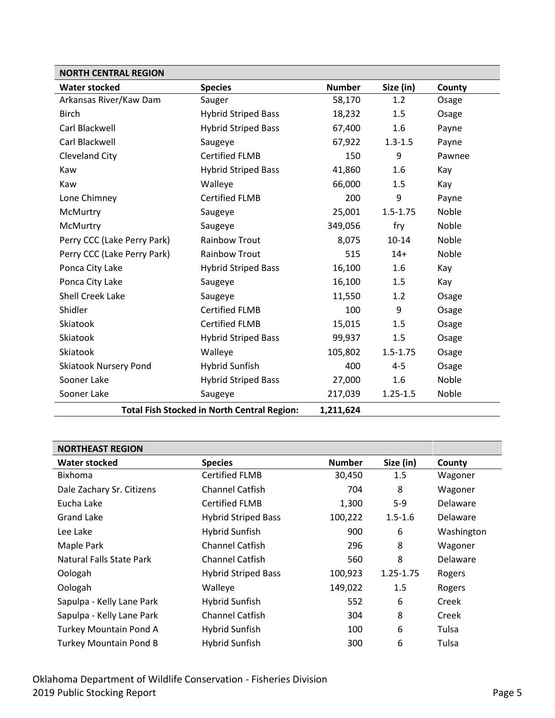<span id="page-4-0"></span>

| <b>NORTH CENTRAL REGION</b>                                     |                            |               |              |        |
|-----------------------------------------------------------------|----------------------------|---------------|--------------|--------|
| <b>Water stocked</b>                                            | <b>Species</b>             | <b>Number</b> | Size (in)    | County |
| Arkansas River/Kaw Dam                                          | Sauger                     | 58,170        | 1.2          | Osage  |
| <b>Birch</b>                                                    | <b>Hybrid Striped Bass</b> | 18,232        | 1.5          | Osage  |
| Carl Blackwell                                                  | <b>Hybrid Striped Bass</b> | 67,400        | 1.6          | Payne  |
| Carl Blackwell                                                  | Saugeye                    | 67,922        | $1.3 - 1.5$  | Payne  |
| <b>Cleveland City</b>                                           | <b>Certified FLMB</b>      | 150           | 9            | Pawnee |
| Kaw                                                             | <b>Hybrid Striped Bass</b> | 41,860        | 1.6          | Kay    |
| Kaw                                                             | Walleye                    | 66,000        | 1.5          | Kay    |
| Lone Chimney                                                    | <b>Certified FLMB</b>      | 200           | 9            | Payne  |
| McMurtry                                                        | Saugeye                    | 25,001        | $1.5 - 1.75$ | Noble  |
| McMurtry                                                        | Saugeye                    | 349,056       | fry          | Noble  |
| Perry CCC (Lake Perry Park)                                     | <b>Rainbow Trout</b>       | 8,075         | $10 - 14$    | Noble  |
| Perry CCC (Lake Perry Park)                                     | <b>Rainbow Trout</b>       | 515           | $14+$        | Noble  |
| Ponca City Lake                                                 | <b>Hybrid Striped Bass</b> | 16,100        | 1.6          | Kay    |
| Ponca City Lake                                                 | Saugeye                    | 16,100        | 1.5          | Kay    |
| <b>Shell Creek Lake</b>                                         | Saugeye                    | 11,550        | 1.2          | Osage  |
| Shidler                                                         | <b>Certified FLMB</b>      | 100           | 9            | Osage  |
| Skiatook                                                        | <b>Certified FLMB</b>      | 15,015        | 1.5          | Osage  |
| Skiatook                                                        | <b>Hybrid Striped Bass</b> | 99,937        | 1.5          | Osage  |
| Skiatook                                                        | Walleye                    | 105,802       | $1.5 - 1.75$ | Osage  |
| <b>Skiatook Nursery Pond</b>                                    | Hybrid Sunfish             | 400           | $4 - 5$      | Osage  |
| Sooner Lake                                                     | <b>Hybrid Striped Bass</b> | 27,000        | 1.6          | Noble  |
| Sooner Lake                                                     | Saugeye                    | 217,039       | $1.25 - 1.5$ | Noble  |
| <b>Total Fish Stocked in North Central Region:</b><br>1,211,624 |                            |               |              |        |

<span id="page-4-1"></span>

| <b>NORTHEAST REGION</b>       |                            |               |             |                 |  |
|-------------------------------|----------------------------|---------------|-------------|-----------------|--|
| <b>Water stocked</b>          | <b>Species</b>             | <b>Number</b> | Size (in)   | County          |  |
| <b>Bixhoma</b>                | <b>Certified FLMB</b>      | 30,450        | 1.5         | Wagoner         |  |
| Dale Zachary Sr. Citizens     | <b>Channel Catfish</b>     | 704           | 8           | Wagoner         |  |
| Eucha Lake                    | <b>Certified FLMB</b>      | 1,300         | $5-9$       | <b>Delaware</b> |  |
| Grand Lake                    | <b>Hybrid Striped Bass</b> | 100,222       | $1.5 - 1.6$ | <b>Delaware</b> |  |
| Lee Lake                      | Hybrid Sunfish             | 900           | 6           | Washington      |  |
| Maple Park                    | <b>Channel Catfish</b>     | 296           | 8           | Wagoner         |  |
| Natural Falls State Park      | <b>Channel Catfish</b>     | 560           | 8           | <b>Delaware</b> |  |
| Oologah                       | <b>Hybrid Striped Bass</b> | 100,923       | 1.25-1.75   | Rogers          |  |
| Oologah                       | Walleye                    | 149,022       | 1.5         | Rogers          |  |
| Sapulpa - Kelly Lane Park     | Hybrid Sunfish             | 552           | 6           | Creek           |  |
| Sapulpa - Kelly Lane Park     | <b>Channel Catfish</b>     | 304           | 8           | Creek           |  |
| Turkey Mountain Pond A        | Hybrid Sunfish             | 100           | 6           | Tulsa           |  |
| <b>Turkey Mountain Pond B</b> | Hybrid Sunfish             | 300           | 6           | Tulsa           |  |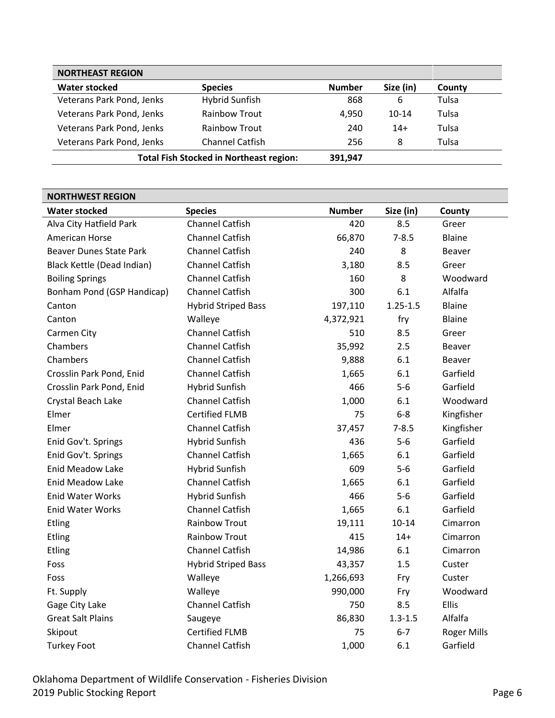| <b>NORTHEAST REGION</b>   |                                                |               |           |        |
|---------------------------|------------------------------------------------|---------------|-----------|--------|
| <b>Water stocked</b>      | <b>Species</b>                                 | <b>Number</b> | Size (in) | County |
| Veterans Park Pond, Jenks | <b>Hybrid Sunfish</b>                          | 868           | 6         | Tulsa  |
| Veterans Park Pond, Jenks | <b>Rainbow Trout</b>                           | 4.950         | $10 - 14$ | Tulsa  |
| Veterans Park Pond, Jenks | <b>Rainbow Trout</b>                           | 240           | $14+$     | Tulsa  |
| Veterans Park Pond, Jenks | Channel Catfish                                | 256           | 8         | Tulsa  |
|                           | <b>Total Fish Stocked in Northeast region:</b> | 391,947       |           |        |

<span id="page-5-0"></span>

| <b>NORTHWEST REGION</b>        |                            |               |              |                    |  |
|--------------------------------|----------------------------|---------------|--------------|--------------------|--|
| <b>Water stocked</b>           | <b>Species</b>             | <b>Number</b> | Size (in)    | County             |  |
| Alva City Hatfield Park        | <b>Channel Catfish</b>     | 420           | 8.5          | Greer              |  |
| American Horse                 | <b>Channel Catfish</b>     | 66,870        | $7 - 8.5$    | <b>Blaine</b>      |  |
| <b>Beaver Dunes State Park</b> | <b>Channel Catfish</b>     | 240           | 8            | <b>Beaver</b>      |  |
| Black Kettle (Dead Indian)     | <b>Channel Catfish</b>     | 3,180         | 8.5          | Greer              |  |
| <b>Boiling Springs</b>         | <b>Channel Catfish</b>     | 160           | 8            | Woodward           |  |
| Bonham Pond (GSP Handicap)     | <b>Channel Catfish</b>     | 300           | 6.1          | Alfalfa            |  |
| Canton                         | <b>Hybrid Striped Bass</b> | 197,110       | $1.25 - 1.5$ | <b>Blaine</b>      |  |
| Canton                         | Walleye                    | 4,372,921     | fry          | <b>Blaine</b>      |  |
| Carmen City                    | <b>Channel Catfish</b>     | 510           | 8.5          | Greer              |  |
| Chambers                       | <b>Channel Catfish</b>     | 35,992        | 2.5          | Beaver             |  |
| Chambers                       | <b>Channel Catfish</b>     | 9,888         | 6.1          | <b>Beaver</b>      |  |
| Crosslin Park Pond, Enid       | <b>Channel Catfish</b>     | 1,665         | 6.1          | Garfield           |  |
| Crosslin Park Pond, Enid       | <b>Hybrid Sunfish</b>      | 466           | $5-6$        | Garfield           |  |
| Crystal Beach Lake             | <b>Channel Catfish</b>     | 1,000         | 6.1          | Woodward           |  |
| Elmer                          | <b>Certified FLMB</b>      | 75            | $6-8$        | Kingfisher         |  |
| Elmer                          | <b>Channel Catfish</b>     | 37,457        | $7 - 8.5$    | Kingfisher         |  |
| Enid Gov't. Springs            | <b>Hybrid Sunfish</b>      | 436           | $5-6$        | Garfield           |  |
| Enid Gov't. Springs            | <b>Channel Catfish</b>     | 1,665         | 6.1          | Garfield           |  |
| <b>Enid Meadow Lake</b>        | <b>Hybrid Sunfish</b>      | 609           | $5-6$        | Garfield           |  |
| Enid Meadow Lake               | <b>Channel Catfish</b>     | 1,665         | 6.1          | Garfield           |  |
| <b>Enid Water Works</b>        | <b>Hybrid Sunfish</b>      | 466           | $5-6$        | Garfield           |  |
| <b>Enid Water Works</b>        | <b>Channel Catfish</b>     | 1,665         | 6.1          | Garfield           |  |
| <b>Etling</b>                  | <b>Rainbow Trout</b>       | 19,111        | $10 - 14$    | Cimarron           |  |
| Etling                         | <b>Rainbow Trout</b>       | 415           | $14+$        | Cimarron           |  |
| <b>Etling</b>                  | <b>Channel Catfish</b>     | 14,986        | 6.1          | Cimarron           |  |
| Foss                           | <b>Hybrid Striped Bass</b> | 43,357        | 1.5          | Custer             |  |
| Foss                           | Walleye                    | 1,266,693     | Fry          | Custer             |  |
| Ft. Supply                     | Walleye                    | 990,000       | Fry          | Woodward           |  |
| Gage City Lake                 | <b>Channel Catfish</b>     | 750           | 8.5          | Ellis              |  |
| <b>Great Salt Plains</b>       | Saugeye                    | 86,830        | $1.3 - 1.5$  | Alfalfa            |  |
| Skipout                        | <b>Certified FLMB</b>      | 75            | $6 - 7$      | <b>Roger Mills</b> |  |
| <b>Turkey Foot</b>             | <b>Channel Catfish</b>     | 1,000         | 6.1          | Garfield           |  |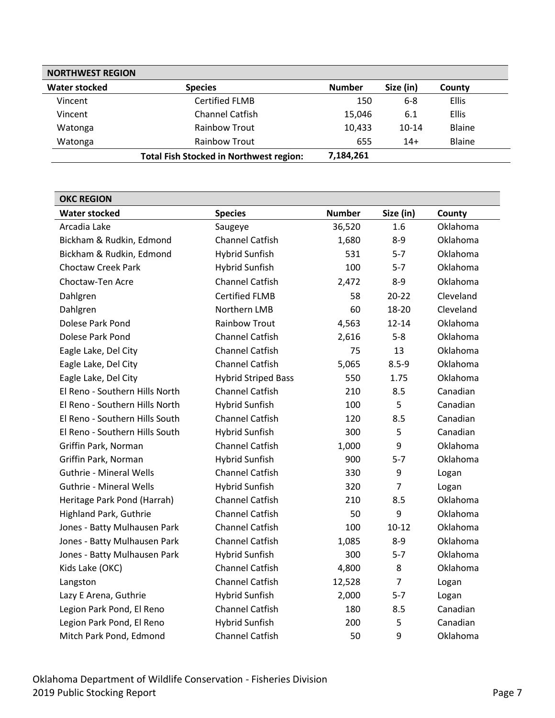| <b>NORTHWEST REGION</b> |                                                |               |           |               |  |
|-------------------------|------------------------------------------------|---------------|-----------|---------------|--|
| <b>Water stocked</b>    | <b>Species</b>                                 | <b>Number</b> | Size (in) | County        |  |
| Vincent                 | <b>Certified FLMB</b>                          | 150           | $6 - 8$   | <b>Ellis</b>  |  |
| Vincent                 | <b>Channel Catfish</b>                         | 15,046        | 6.1       | <b>Ellis</b>  |  |
| Watonga                 | <b>Rainbow Trout</b>                           | 10,433        | $10-14$   | <b>Blaine</b> |  |
| Watonga                 | Rainbow Trout                                  | 655           | $14+$     | <b>Blaine</b> |  |
|                         | <b>Total Fish Stocked in Northwest region:</b> | 7,184,261     |           |               |  |

<span id="page-6-0"></span>

| <b>OKC REGION</b>              |                            |               |                |           |  |
|--------------------------------|----------------------------|---------------|----------------|-----------|--|
| <b>Water stocked</b>           | <b>Species</b>             | <b>Number</b> | Size (in)      | County    |  |
| Arcadia Lake                   | Saugeye                    | 36,520        | 1.6            | Oklahoma  |  |
| Bickham & Rudkin, Edmond       | Channel Catfish            | 1,680         | $8 - 9$        | Oklahoma  |  |
| Bickham & Rudkin, Edmond       | <b>Hybrid Sunfish</b>      | 531           | $5 - 7$        | Oklahoma  |  |
| <b>Choctaw Creek Park</b>      | <b>Hybrid Sunfish</b>      | 100           | $5 - 7$        | Oklahoma  |  |
| Choctaw-Ten Acre               | Channel Catfish            | 2,472         | $8 - 9$        | Oklahoma  |  |
| Dahlgren                       | <b>Certified FLMB</b>      | 58            | $20 - 22$      | Cleveland |  |
| Dahlgren                       | Northern LMB               | 60            | 18-20          | Cleveland |  |
| Dolese Park Pond               | <b>Rainbow Trout</b>       | 4,563         | $12 - 14$      | Oklahoma  |  |
| Dolese Park Pond               | <b>Channel Catfish</b>     | 2,616         | $5 - 8$        | Oklahoma  |  |
| Eagle Lake, Del City           | Channel Catfish            | 75            | 13             | Oklahoma  |  |
| Eagle Lake, Del City           | <b>Channel Catfish</b>     | 5,065         | $8.5 - 9$      | Oklahoma  |  |
| Eagle Lake, Del City           | <b>Hybrid Striped Bass</b> | 550           | 1.75           | Oklahoma  |  |
| El Reno - Southern Hills North | <b>Channel Catfish</b>     | 210           | 8.5            | Canadian  |  |
| El Reno - Southern Hills North | <b>Hybrid Sunfish</b>      | 100           | 5              | Canadian  |  |
| El Reno - Southern Hills South | <b>Channel Catfish</b>     | 120           | 8.5            | Canadian  |  |
| El Reno - Southern Hills South | <b>Hybrid Sunfish</b>      | 300           | 5              | Canadian  |  |
| Griffin Park, Norman           | <b>Channel Catfish</b>     | 1,000         | 9              | Oklahoma  |  |
| Griffin Park, Norman           | <b>Hybrid Sunfish</b>      | 900           | $5 - 7$        | Oklahoma  |  |
| <b>Guthrie - Mineral Wells</b> | <b>Channel Catfish</b>     | 330           | 9              | Logan     |  |
| <b>Guthrie - Mineral Wells</b> | <b>Hybrid Sunfish</b>      | 320           | $\overline{7}$ | Logan     |  |
| Heritage Park Pond (Harrah)    | <b>Channel Catfish</b>     | 210           | 8.5            | Oklahoma  |  |
| Highland Park, Guthrie         | <b>Channel Catfish</b>     | 50            | 9              | Oklahoma  |  |
| Jones - Batty Mulhausen Park   | Channel Catfish            | 100           | $10 - 12$      | Oklahoma  |  |
| Jones - Batty Mulhausen Park   | Channel Catfish            | 1,085         | $8 - 9$        | Oklahoma  |  |
| Jones - Batty Mulhausen Park   | <b>Hybrid Sunfish</b>      | 300           | $5 - 7$        | Oklahoma  |  |
| Kids Lake (OKC)                | <b>Channel Catfish</b>     | 4,800         | 8              | Oklahoma  |  |
| Langston                       | Channel Catfish            | 12,528        | $\overline{7}$ | Logan     |  |
| Lazy E Arena, Guthrie          | <b>Hybrid Sunfish</b>      | 2,000         | $5 - 7$        | Logan     |  |
| Legion Park Pond, El Reno      | <b>Channel Catfish</b>     | 180           | 8.5            | Canadian  |  |
| Legion Park Pond, El Reno      | <b>Hybrid Sunfish</b>      | 200           | 5              | Canadian  |  |
| Mitch Park Pond, Edmond        | <b>Channel Catfish</b>     | 50            | 9              | Oklahoma  |  |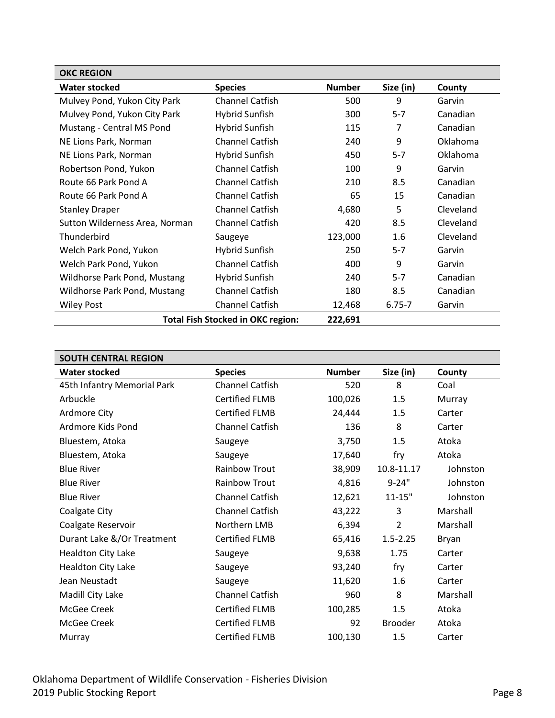| <b>OKC REGION</b>                        |                        |               |            |           |
|------------------------------------------|------------------------|---------------|------------|-----------|
| <b>Water stocked</b>                     | <b>Species</b>         | <b>Number</b> | Size (in)  | County    |
| Mulvey Pond, Yukon City Park             | <b>Channel Catfish</b> | 500           | 9          | Garvin    |
| Mulvey Pond, Yukon City Park             | <b>Hybrid Sunfish</b>  | 300           | $5 - 7$    | Canadian  |
| Mustang - Central MS Pond                | Hybrid Sunfish         | 115           | 7          | Canadian  |
| NE Lions Park, Norman                    | <b>Channel Catfish</b> | 240           | 9          | Oklahoma  |
| NE Lions Park, Norman                    | Hybrid Sunfish         | 450           | $5 - 7$    | Oklahoma  |
| Robertson Pond, Yukon                    | <b>Channel Catfish</b> | 100           | 9          | Garvin    |
| Route 66 Park Pond A                     | <b>Channel Catfish</b> | 210           | 8.5        | Canadian  |
| Route 66 Park Pond A                     | <b>Channel Catfish</b> | 65            | 15         | Canadian  |
| <b>Stanley Draper</b>                    | <b>Channel Catfish</b> | 4,680         | 5          | Cleveland |
| Sutton Wilderness Area, Norman           | <b>Channel Catfish</b> | 420           | 8.5        | Cleveland |
| Thunderbird                              | Saugeye                | 123,000       | 1.6        | Cleveland |
| Welch Park Pond, Yukon                   | Hybrid Sunfish         | 250           | $5 - 7$    | Garvin    |
| Welch Park Pond, Yukon                   | <b>Channel Catfish</b> | 400           | 9          | Garvin    |
| Wildhorse Park Pond, Mustang             | Hybrid Sunfish         | 240           | $5 - 7$    | Canadian  |
| <b>Wildhorse Park Pond, Mustang</b>      | <b>Channel Catfish</b> | 180           | 8.5        | Canadian  |
| <b>Wiley Post</b>                        | <b>Channel Catfish</b> | 12,468        | $6.75 - 7$ | Garvin    |
| <b>Total Fish Stocked in OKC region:</b> | 222,691                |               |            |           |

<span id="page-7-0"></span>

| <b>SOUTH CENTRAL REGION</b> |                        |               |                |          |
|-----------------------------|------------------------|---------------|----------------|----------|
| <b>Water stocked</b>        | <b>Species</b>         | <b>Number</b> | Size (in)      | County   |
| 45th Infantry Memorial Park | <b>Channel Catfish</b> | 520           | 8              | Coal     |
| Arbuckle                    | <b>Certified FLMB</b>  | 100,026       | 1.5            | Murray   |
| Ardmore City                | <b>Certified FLMB</b>  | 24,444        | 1.5            | Carter   |
| Ardmore Kids Pond           | Channel Catfish        | 136           | 8              | Carter   |
| Bluestem, Atoka             | Saugeye                | 3,750         | 1.5            | Atoka    |
| Bluestem, Atoka             | Saugeye                | 17,640        | fry            | Atoka    |
| <b>Blue River</b>           | <b>Rainbow Trout</b>   | 38,909        | 10.8-11.17     | Johnston |
| <b>Blue River</b>           | Rainbow Trout          | 4,816         | $9 - 24"$      | Johnston |
| <b>Blue River</b>           | Channel Catfish        | 12,621        | $11 - 15"$     | Johnston |
| Coalgate City               | <b>Channel Catfish</b> | 43,222        | 3              | Marshall |
| Coalgate Reservoir          | Northern LMB           | 6,394         | $\overline{2}$ | Marshall |
| Durant Lake &/Or Treatment  | <b>Certified FLMB</b>  | 65,416        | $1.5 - 2.25$   | Bryan    |
| <b>Healdton City Lake</b>   | Saugeye                | 9,638         | 1.75           | Carter   |
| <b>Healdton City Lake</b>   | Saugeye                | 93,240        | fry            | Carter   |
| Jean Neustadt               | Saugeye                | 11,620        | 1.6            | Carter   |
| Madill City Lake            | Channel Catfish        | 960           | 8              | Marshall |
| McGee Creek                 | <b>Certified FLMB</b>  | 100,285       | 1.5            | Atoka    |
| McGee Creek                 | <b>Certified FLMB</b>  | 92            | <b>Brooder</b> | Atoka    |
| Murray                      | <b>Certified FLMB</b>  | 100,130       | 1.5            | Carter   |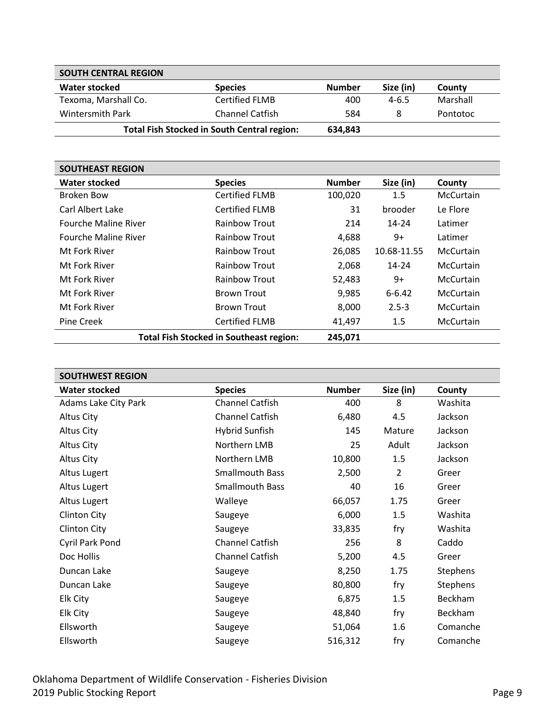| <b>SOUTH CENTRAL REGION</b>                        |                 |               |           |          |
|----------------------------------------------------|-----------------|---------------|-----------|----------|
| Water stocked                                      | <b>Species</b>  | <b>Number</b> | Size (in) | County   |
| Texoma, Marshall Co.                               | Certified FLMB  | 400           | $4 - 6.5$ | Marshall |
| <b>Wintersmith Park</b>                            | Channel Catfish | 584           | 8         | Pontotoc |
| <b>Total Fish Stocked in South Central region:</b> |                 | 634,843       |           |          |

<span id="page-8-0"></span>

| <b>SOUTHEAST REGION</b>     |                                                |               |             |                  |
|-----------------------------|------------------------------------------------|---------------|-------------|------------------|
| <b>Water stocked</b>        | <b>Species</b>                                 | <b>Number</b> | Size (in)   | County           |
| Broken Bow                  | <b>Certified FLMB</b>                          | 100,020       | 1.5         | <b>McCurtain</b> |
| Carl Albert Lake            | Certified FLMB                                 | 31            | brooder     | Le Flore         |
| <b>Fourche Maline River</b> | Rainbow Trout                                  | 214           | 14-24       | Latimer          |
| <b>Fourche Maline River</b> | <b>Rainbow Trout</b>                           | 4,688         | 9+          | Latimer          |
| Mt Fork River               | <b>Rainbow Trout</b>                           | 26,085        | 10.68-11.55 | <b>McCurtain</b> |
| Mt Fork River               | <b>Rainbow Trout</b>                           | 2,068         | $14 - 24$   | <b>McCurtain</b> |
| Mt Fork River               | <b>Rainbow Trout</b>                           | 52,483        | 9+          | <b>McCurtain</b> |
| Mt Fork River               | <b>Brown Trout</b>                             | 9,985         | $6 - 6.42$  | <b>McCurtain</b> |
| Mt Fork River               | <b>Brown Trout</b>                             | 8,000         | $2.5 - 3$   | McCurtain        |
| Pine Creek                  | <b>Certified FLMB</b>                          | 41,497        | 1.5         | <b>McCurtain</b> |
|                             | <b>Total Fish Stocked in Southeast region:</b> | 245,071       |             |                  |

<span id="page-8-1"></span>

| <b>SOUTHWEST REGION</b> |                        |               |                |               |
|-------------------------|------------------------|---------------|----------------|---------------|
| <b>Water stocked</b>    | <b>Species</b>         | <b>Number</b> | Size (in)      | <b>County</b> |
| Adams Lake City Park    | Channel Catfish        | 400           | 8              | Washita       |
| Altus City              | Channel Catfish        | 6,480         | 4.5            | Jackson       |
| Altus City              | <b>Hybrid Sunfish</b>  | 145           | Mature         | Jackson       |
| Altus City              | Northern LMB           | 25            | Adult          | Jackson       |
| <b>Altus City</b>       | Northern LMB           | 10,800        | 1.5            | Jackson       |
| Altus Lugert            | Smallmouth Bass        | 2,500         | $\overline{2}$ | Greer         |
| Altus Lugert            | <b>Smallmouth Bass</b> | 40            | 16             | Greer         |
| Altus Lugert            | Walleye                | 66,057        | 1.75           | Greer         |
| <b>Clinton City</b>     | Saugeye                | 6,000         | 1.5            | Washita       |
| <b>Clinton City</b>     | Saugeye                | 33,835        | fry            | Washita       |
| Cyril Park Pond         | <b>Channel Catfish</b> | 256           | 8              | Caddo         |
| Doc Hollis              | Channel Catfish        | 5,200         | 4.5            | Greer         |
| Duncan Lake             | Saugeye                | 8,250         | 1.75           | Stephens      |
| Duncan Lake             | Saugeye                | 80,800        | fry            | Stephens      |
| Elk City                | Saugeye                | 6,875         | 1.5            | Beckham       |
| Elk City                | Saugeye                | 48,840        | fry            | Beckham       |
| Ellsworth               | Saugeye                | 51,064        | 1.6            | Comanche      |
| Ellsworth               | Saugeye                | 516,312       | fry            | Comanche      |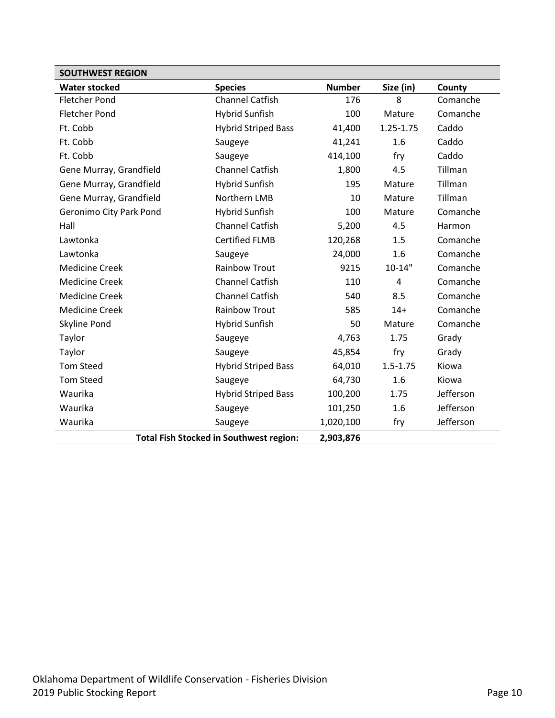| <b>SOUTHWEST REGION</b> |                                                |               |                |           |
|-------------------------|------------------------------------------------|---------------|----------------|-----------|
| <b>Water stocked</b>    | <b>Species</b>                                 | <b>Number</b> | Size (in)      | County    |
| <b>Fletcher Pond</b>    | <b>Channel Catfish</b>                         | 176           | 8              | Comanche  |
| <b>Fletcher Pond</b>    | <b>Hybrid Sunfish</b>                          | 100           | Mature         | Comanche  |
| Ft. Cobb                | <b>Hybrid Striped Bass</b>                     | 41,400        | 1.25-1.75      | Caddo     |
| Ft. Cobb                | Saugeye                                        | 41,241        | 1.6            | Caddo     |
| Ft. Cobb                | Saugeye                                        | 414,100       | fry            | Caddo     |
| Gene Murray, Grandfield | <b>Channel Catfish</b>                         | 1,800         | 4.5            | Tillman   |
| Gene Murray, Grandfield | <b>Hybrid Sunfish</b>                          | 195           | Mature         | Tillman   |
| Gene Murray, Grandfield | Northern LMB                                   | 10            | Mature         | Tillman   |
| Geronimo City Park Pond | <b>Hybrid Sunfish</b>                          | 100           | Mature         | Comanche  |
| Hall                    | <b>Channel Catfish</b>                         | 5,200         | 4.5            | Harmon    |
| Lawtonka                | <b>Certified FLMB</b>                          | 120,268       | 1.5            | Comanche  |
| Lawtonka                | Saugeye                                        | 24,000        | 1.6            | Comanche  |
| <b>Medicine Creek</b>   | <b>Rainbow Trout</b>                           | 9215          | $10 - 14"$     | Comanche  |
| <b>Medicine Creek</b>   | <b>Channel Catfish</b>                         | 110           | $\overline{4}$ | Comanche  |
| <b>Medicine Creek</b>   | <b>Channel Catfish</b>                         | 540           | 8.5            | Comanche  |
| <b>Medicine Creek</b>   | <b>Rainbow Trout</b>                           | 585           | $14+$          | Comanche  |
| Skyline Pond            | <b>Hybrid Sunfish</b>                          | 50            | Mature         | Comanche  |
| Taylor                  | Saugeye                                        | 4,763         | 1.75           | Grady     |
| Taylor                  | Saugeye                                        | 45,854        | fry            | Grady     |
| <b>Tom Steed</b>        | <b>Hybrid Striped Bass</b>                     | 64,010        | $1.5 - 1.75$   | Kiowa     |
| <b>Tom Steed</b>        | Saugeye                                        | 64,730        | 1.6            | Kiowa     |
| Waurika                 | <b>Hybrid Striped Bass</b>                     | 100,200       | 1.75           | Jefferson |
| Waurika                 | Saugeye                                        | 101,250       | 1.6            | Jefferson |
| Waurika                 | Saugeye                                        | 1,020,100     | fry            | Jefferson |
|                         | <b>Total Fish Stocked in Southwest region:</b> | 2,903,876     |                |           |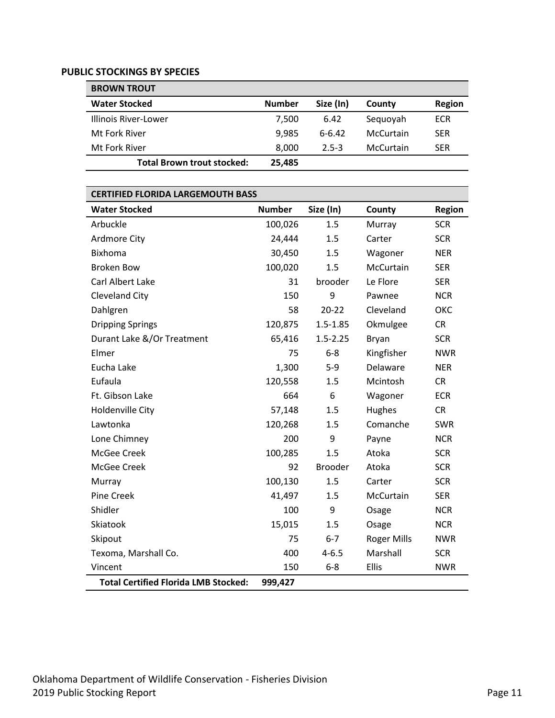#### <span id="page-10-0"></span>**PUBLIC STOCKINGS BY SPECIES**

<span id="page-10-1"></span>

| <b>BROWN TROUT</b>         |               |           |           |            |
|----------------------------|---------------|-----------|-----------|------------|
| <b>Water Stocked</b>       | <b>Number</b> | Size (In) | County    | Region     |
| Illinois River-Lower       | 7.500         | 6.42      | Sequoyah  | ECR        |
| Mt Fork River              | 9.985         | $6-6.42$  | McCurtain | <b>SER</b> |
| Mt Fork River              | 8.000         | $2.5 - 3$ | McCurtain | <b>SER</b> |
| Total Brown trout stocked: | 25,485        |           |           |            |

#### <span id="page-10-2"></span>**CERTIFIED FLORIDA LARGEMOUTH BASS**

| <b>Water Stocked</b>                        | <b>Number</b> | Size (In)      | County             | <b>Region</b> |
|---------------------------------------------|---------------|----------------|--------------------|---------------|
| Arbuckle                                    | 100,026       | 1.5            | Murray             | <b>SCR</b>    |
| <b>Ardmore City</b>                         | 24,444        | 1.5            | Carter             | <b>SCR</b>    |
| <b>Bixhoma</b>                              | 30,450        | 1.5            | Wagoner            | <b>NER</b>    |
| <b>Broken Bow</b>                           | 100,020       | 1.5            | McCurtain          | <b>SER</b>    |
| Carl Albert Lake                            | 31            | brooder        | Le Flore           | <b>SER</b>    |
| Cleveland City                              | 150           | 9              | Pawnee             | <b>NCR</b>    |
| Dahlgren                                    | 58            | $20 - 22$      | Cleveland          | ОКС           |
| <b>Dripping Springs</b>                     | 120,875       | $1.5 - 1.85$   | Okmulgee           | <b>CR</b>     |
| Durant Lake &/Or Treatment                  | 65,416        | $1.5 - 2.25$   | Bryan              | <b>SCR</b>    |
| Elmer                                       | 75            | $6 - 8$        | Kingfisher         | <b>NWR</b>    |
| Eucha Lake                                  | 1,300         | $5-9$          | Delaware           | <b>NER</b>    |
| Eufaula                                     | 120,558       | 1.5            | Mcintosh           | <b>CR</b>     |
| Ft. Gibson Lake                             | 664           | 6              | Wagoner            | <b>ECR</b>    |
| Holdenville City                            | 57,148        | 1.5            | Hughes             | <b>CR</b>     |
| Lawtonka                                    | 120,268       | 1.5            | Comanche           | <b>SWR</b>    |
| Lone Chimney                                | 200           | 9              | Payne              | <b>NCR</b>    |
| McGee Creek                                 | 100,285       | 1.5            | Atoka              | <b>SCR</b>    |
| McGee Creek                                 | 92            | <b>Brooder</b> | Atoka              | <b>SCR</b>    |
| Murray                                      | 100,130       | 1.5            | Carter             | <b>SCR</b>    |
| Pine Creek                                  | 41,497        | 1.5            | McCurtain          | <b>SER</b>    |
| Shidler                                     | 100           | 9              | Osage              | <b>NCR</b>    |
| Skiatook                                    | 15,015        | 1.5            | Osage              | <b>NCR</b>    |
| Skipout                                     | 75            | $6 - 7$        | <b>Roger Mills</b> | <b>NWR</b>    |
| Texoma, Marshall Co.                        | 400           | $4 - 6.5$      | Marshall           | <b>SCR</b>    |
| Vincent                                     | 150           | $6 - 8$        | Ellis              | <b>NWR</b>    |
| <b>Total Certified Florida LMB Stocked:</b> | 999,427       |                |                    |               |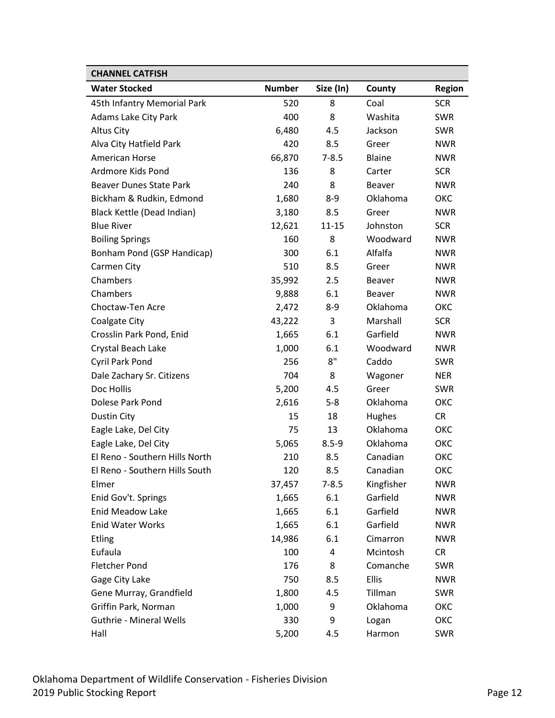<span id="page-11-0"></span>

| <b>CHANNEL CATFISH</b>         |               |           |               |               |
|--------------------------------|---------------|-----------|---------------|---------------|
| <b>Water Stocked</b>           | <b>Number</b> | Size (In) | County        | <b>Region</b> |
| 45th Infantry Memorial Park    | 520           | 8         | Coal          | <b>SCR</b>    |
| Adams Lake City Park           | 400           | 8         | Washita       | <b>SWR</b>    |
| <b>Altus City</b>              | 6,480         | 4.5       | Jackson       | <b>SWR</b>    |
| Alva City Hatfield Park        | 420           | 8.5       | Greer         | <b>NWR</b>    |
| American Horse                 | 66,870        | $7 - 8.5$ | <b>Blaine</b> | <b>NWR</b>    |
| Ardmore Kids Pond              | 136           | 8         | Carter        | <b>SCR</b>    |
| <b>Beaver Dunes State Park</b> | 240           | 8         | <b>Beaver</b> | <b>NWR</b>    |
| Bickham & Rudkin, Edmond       | 1,680         | 8-9       | Oklahoma      | ОКС           |
| Black Kettle (Dead Indian)     | 3,180         | 8.5       | Greer         | <b>NWR</b>    |
| <b>Blue River</b>              | 12,621        | 11-15     | Johnston      | <b>SCR</b>    |
| <b>Boiling Springs</b>         | 160           | 8         | Woodward      | <b>NWR</b>    |
| Bonham Pond (GSP Handicap)     | 300           | 6.1       | Alfalfa       | <b>NWR</b>    |
| Carmen City                    | 510           | 8.5       | Greer         | <b>NWR</b>    |
| Chambers                       | 35,992        | 2.5       | <b>Beaver</b> | <b>NWR</b>    |
| Chambers                       | 9,888         | 6.1       | <b>Beaver</b> | <b>NWR</b>    |
| Choctaw-Ten Acre               | 2,472         | 8-9       | Oklahoma      | ОКС           |
| <b>Coalgate City</b>           | 43,222        | 3         | Marshall      | <b>SCR</b>    |
| Crosslin Park Pond, Enid       | 1,665         | 6.1       | Garfield      | <b>NWR</b>    |
| Crystal Beach Lake             | 1,000         | 6.1       | Woodward      | <b>NWR</b>    |
| Cyril Park Pond                | 256           | 8"        | Caddo         | <b>SWR</b>    |
| Dale Zachary Sr. Citizens      | 704           | 8         | Wagoner       | <b>NER</b>    |
| Doc Hollis                     | 5,200         | 4.5       | Greer         | <b>SWR</b>    |
| Dolese Park Pond               | 2,616         | $5 - 8$   | Oklahoma      | ОКС           |
| Dustin City                    | 15            | 18        | Hughes        | <b>CR</b>     |
| Eagle Lake, Del City           | 75            | 13        | Oklahoma      | ОКС           |
| Eagle Lake, Del City           | 5,065         | $8.5 - 9$ | Oklahoma      | ОКС           |
| El Reno - Southern Hills North | 210           | 8.5       | Canadian      | ОКС           |
| El Reno - Southern Hills South | 120           | 8.5       | Canadian      | ОКС           |
| Elmer                          | 37,457        | $7 - 8.5$ | Kingfisher    | <b>NWR</b>    |
| Enid Gov't. Springs            | 1,665         | 6.1       | Garfield      | <b>NWR</b>    |
| Enid Meadow Lake               | 1,665         | 6.1       | Garfield      | <b>NWR</b>    |
| <b>Enid Water Works</b>        | 1,665         | 6.1       | Garfield      | <b>NWR</b>    |
| Etling                         | 14,986        | 6.1       | Cimarron      | <b>NWR</b>    |
| Eufaula                        | 100           | 4         | Mcintosh      | <b>CR</b>     |
| <b>Fletcher Pond</b>           | 176           | 8         | Comanche      | SWR           |
| Gage City Lake                 | 750           | 8.5       | Ellis         | <b>NWR</b>    |
| Gene Murray, Grandfield        | 1,800         | 4.5       | Tillman       | SWR           |
| Griffin Park, Norman           | 1,000         | 9         | Oklahoma      | ОКС           |
| <b>Guthrie - Mineral Wells</b> | 330           | 9         | Logan         | ОКС           |
| Hall                           | 5,200         | 4.5       | Harmon        | <b>SWR</b>    |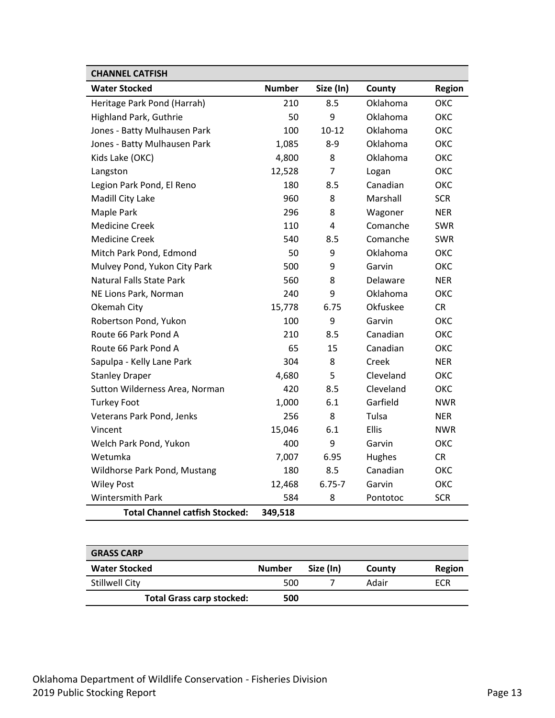| <b>CHANNEL CATFISH</b>                |               |            |           |            |
|---------------------------------------|---------------|------------|-----------|------------|
| <b>Water Stocked</b>                  | <b>Number</b> | Size (In)  | County    | Region     |
| Heritage Park Pond (Harrah)           | 210           | 8.5        | Oklahoma  | ОКС        |
| <b>Highland Park, Guthrie</b>         | 50            | 9          | Oklahoma  | ОКС        |
| Jones - Batty Mulhausen Park          | 100           | $10 - 12$  | Oklahoma  | OKC        |
| Jones - Batty Mulhausen Park          | 1,085         | $8-9$      | Oklahoma  | OKC        |
| Kids Lake (OKC)                       | 4,800         | 8          | Oklahoma  | ОКС        |
| Langston                              | 12,528        | 7          | Logan     | OKC        |
| Legion Park Pond, El Reno             | 180           | 8.5        | Canadian  | <b>OKC</b> |
| Madill City Lake                      | 960           | 8          | Marshall  | <b>SCR</b> |
| Maple Park                            | 296           | 8          | Wagoner   | <b>NER</b> |
| <b>Medicine Creek</b>                 | 110           | 4          | Comanche  | SWR        |
| <b>Medicine Creek</b>                 | 540           | 8.5        | Comanche  | <b>SWR</b> |
| Mitch Park Pond, Edmond               | 50            | 9          | Oklahoma  | OKC        |
| Mulvey Pond, Yukon City Park          | 500           | 9          | Garvin    | OKC        |
| <b>Natural Falls State Park</b>       | 560           | 8          | Delaware  | <b>NER</b> |
| NE Lions Park, Norman                 | 240           | 9          | Oklahoma  | ОКС        |
| Okemah City                           | 15,778        | 6.75       | Okfuskee  | <b>CR</b>  |
| Robertson Pond, Yukon                 | 100           | 9          | Garvin    | <b>OKC</b> |
| Route 66 Park Pond A                  | 210           | 8.5        | Canadian  | ОКС        |
| Route 66 Park Pond A                  | 65            | 15         | Canadian  | OKC        |
| Sapulpa - Kelly Lane Park             | 304           | 8          | Creek     | <b>NER</b> |
| <b>Stanley Draper</b>                 | 4,680         | 5          | Cleveland | OKC        |
| Sutton Wilderness Area, Norman        | 420           | 8.5        | Cleveland | OKC        |
| <b>Turkey Foot</b>                    | 1,000         | 6.1        | Garfield  | <b>NWR</b> |
| Veterans Park Pond, Jenks             | 256           | 8          | Tulsa     | <b>NER</b> |
| Vincent                               | 15,046        | 6.1        | Ellis     | <b>NWR</b> |
| Welch Park Pond, Yukon                | 400           | 9          | Garvin    | OKC        |
| Wetumka                               | 7,007         | 6.95       | Hughes    | <b>CR</b>  |
| Wildhorse Park Pond, Mustang          | 180           | 8.5        | Canadian  | OKC        |
| <b>Wiley Post</b>                     | 12,468        | $6.75 - 7$ | Garvin    | OKC        |
| <b>Wintersmith Park</b>               | 584           | 8          | Pontotoc  | <b>SCR</b> |
| <b>Total Channel catfish Stocked:</b> | 349,518       |            |           |            |

<span id="page-12-0"></span>

| <b>GRASS CARP</b>                |               |           |        |               |
|----------------------------------|---------------|-----------|--------|---------------|
| <b>Water Stocked</b>             | <b>Number</b> | Size (In) | County | <b>Region</b> |
| <b>Stillwell City</b>            | 500           |           | Adair  | ECR           |
| <b>Total Grass carp stocked:</b> | 500           |           |        |               |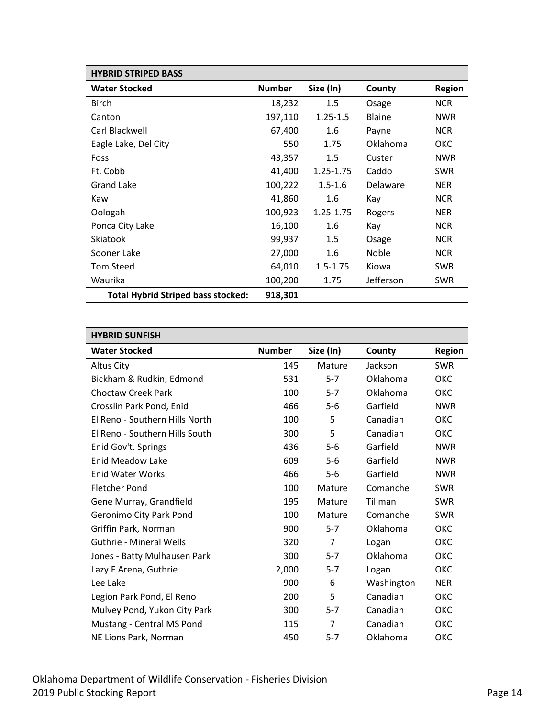<span id="page-13-0"></span>

| <b>HYBRID STRIPED BASS</b>                |               |              |               |               |
|-------------------------------------------|---------------|--------------|---------------|---------------|
| <b>Water Stocked</b>                      | <b>Number</b> | Size (In)    | County        | <b>Region</b> |
| <b>Birch</b>                              | 18,232        | 1.5          | Osage         | <b>NCR</b>    |
| Canton                                    | 197,110       | $1.25 - 1.5$ | <b>Blaine</b> | <b>NWR</b>    |
| Carl Blackwell                            | 67,400        | 1.6          | Payne         | <b>NCR</b>    |
| Eagle Lake, Del City                      | 550           | 1.75         | Oklahoma      | ОКС           |
| Foss                                      | 43,357        | 1.5          | Custer        | <b>NWR</b>    |
| Ft. Cobb                                  | 41,400        | 1.25-1.75    | Caddo         | <b>SWR</b>    |
| Grand Lake                                | 100,222       | $1.5 - 1.6$  | Delaware      | <b>NER</b>    |
| Kaw                                       | 41,860        | 1.6          | Kay           | <b>NCR</b>    |
| Oologah                                   | 100,923       | 1.25-1.75    | Rogers        | <b>NER</b>    |
| Ponca City Lake                           | 16,100        | 1.6          | Kay           | <b>NCR</b>    |
| Skiatook                                  | 99,937        | 1.5          | Osage         | <b>NCR</b>    |
| Sooner Lake                               | 27,000        | 1.6          | Noble         | <b>NCR</b>    |
| Tom Steed                                 | 64,010        | $1.5 - 1.75$ | Kiowa         | <b>SWR</b>    |
| Waurika                                   | 100,200       | 1.75         | Jefferson     | <b>SWR</b>    |
| <b>Total Hybrid Striped bass stocked:</b> | 918,301       |              |               |               |

<span id="page-13-1"></span>

| <b>HYBRID SUNFISH</b>          |               |                |            |               |
|--------------------------------|---------------|----------------|------------|---------------|
| <b>Water Stocked</b>           | <b>Number</b> | Size (In)      | County     | <b>Region</b> |
| Altus City                     | 145           | Mature         | Jackson    | <b>SWR</b>    |
| Bickham & Rudkin, Edmond       | 531           | $5 - 7$        | Oklahoma   | ОКС           |
| <b>Choctaw Creek Park</b>      | 100           | $5 - 7$        | Oklahoma   | ОКС           |
| Crosslin Park Pond, Enid       | 466           | $5-6$          | Garfield   | <b>NWR</b>    |
| El Reno - Southern Hills North | 100           | 5              | Canadian   | ОКС           |
| El Reno - Southern Hills South | 300           | 5              | Canadian   | ОКС           |
| Enid Gov't. Springs            | 436           | $5-6$          | Garfield   | <b>NWR</b>    |
| <b>Enid Meadow Lake</b>        | 609           | $5-6$          | Garfield   | <b>NWR</b>    |
| <b>Enid Water Works</b>        | 466           | $5-6$          | Garfield   | <b>NWR</b>    |
| <b>Fletcher Pond</b>           | 100           | Mature         | Comanche   | <b>SWR</b>    |
| Gene Murray, Grandfield        | 195           | Mature         | Tillman    | <b>SWR</b>    |
| Geronimo City Park Pond        | 100           | Mature         | Comanche   | <b>SWR</b>    |
| Griffin Park, Norman           | 900           | $5 - 7$        | Oklahoma   | ОКС           |
| <b>Guthrie - Mineral Wells</b> | 320           | $\overline{7}$ | Logan      | ОКС           |
| Jones - Batty Mulhausen Park   | 300           | $5 - 7$        | Oklahoma   | ОКС           |
| Lazy E Arena, Guthrie          | 2,000         | $5 - 7$        | Logan      | ОКС           |
| Lee Lake                       | 900           | 6              | Washington | <b>NER</b>    |
| Legion Park Pond, El Reno      | 200           | 5              | Canadian   | ОКС           |
| Mulvey Pond, Yukon City Park   | 300           | $5 - 7$        | Canadian   | ОКС           |
| Mustang - Central MS Pond      | 115           | 7              | Canadian   | ОКС           |
| NE Lions Park, Norman          | 450           | $5 - 7$        | Oklahoma   | ОКС           |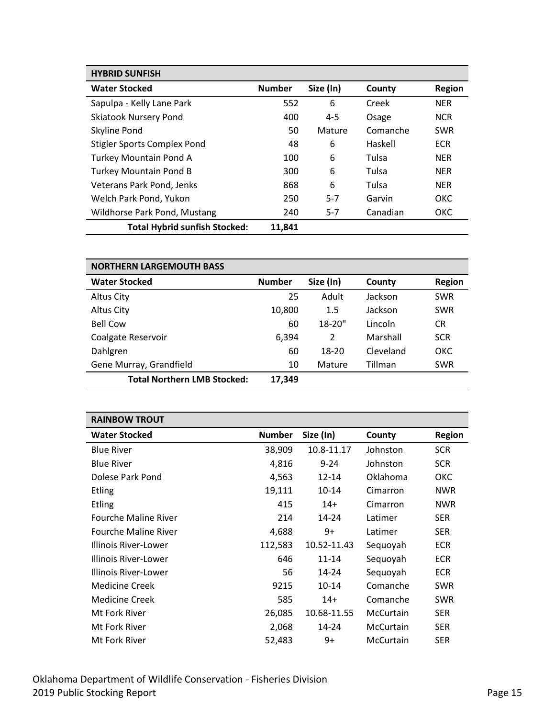| <b>HYBRID SUNFISH</b>                |               |           |          |               |
|--------------------------------------|---------------|-----------|----------|---------------|
| <b>Water Stocked</b>                 | <b>Number</b> | Size (In) | County   | <b>Region</b> |
| Sapulpa - Kelly Lane Park            | 552           | 6         | Creek    | <b>NER</b>    |
| <b>Skiatook Nursery Pond</b>         | 400           | $4 - 5$   | Osage    | <b>NCR</b>    |
| Skyline Pond                         | 50            | Mature    | Comanche | <b>SWR</b>    |
| <b>Stigler Sports Complex Pond</b>   | 48            | 6         | Haskell  | <b>ECR</b>    |
| <b>Turkey Mountain Pond A</b>        | 100           | 6         | Tulsa    | <b>NER</b>    |
| <b>Turkey Mountain Pond B</b>        | 300           | 6         | Tulsa    | <b>NER</b>    |
| Veterans Park Pond, Jenks            | 868           | 6         | Tulsa    | <b>NER</b>    |
| Welch Park Pond, Yukon               | 250           | $5 - 7$   | Garvin   | OKC           |
| Wildhorse Park Pond, Mustang         | 240           | $5 - 7$   | Canadian | ОКС           |
| <b>Total Hybrid sunfish Stocked:</b> | 11.841        |           |          |               |

<span id="page-14-0"></span>

| <b>NORTHERN LARGEMOUTH BASS</b>    |               |            |           |               |
|------------------------------------|---------------|------------|-----------|---------------|
| <b>Water Stocked</b>               | <b>Number</b> | Size (In)  | County    | <b>Region</b> |
| Altus City                         | 25            | Adult      | Jackson   | <b>SWR</b>    |
| Altus City                         | 10,800        | 1.5        | Jackson   | <b>SWR</b>    |
| <b>Bell Cow</b>                    | 60            | $18 - 20"$ | Lincoln   | CR.           |
| Coalgate Reservoir                 | 6.394         | 2          | Marshall  | <b>SCR</b>    |
| Dahlgren                           | 60            | 18-20      | Cleveland | ОКС           |
| Gene Murray, Grandfield            | 10            | Mature     | Tillman   | <b>SWR</b>    |
| <b>Total Northern LMB Stocked:</b> | 17,349        |            |           |               |

<span id="page-14-1"></span>

| <b>RAINBOW TROUT</b>        |               |             |                  |               |
|-----------------------------|---------------|-------------|------------------|---------------|
| <b>Water Stocked</b>        | <b>Number</b> | Size (In)   | County           | <b>Region</b> |
| <b>Blue River</b>           | 38,909        | 10.8-11.17  | Johnston         | <b>SCR</b>    |
| <b>Blue River</b>           | 4,816         | $9 - 24$    | Johnston         | <b>SCR</b>    |
| Dolese Park Pond            | 4,563         | $12 - 14$   | Oklahoma         | ОКС           |
| <b>Etling</b>               | 19,111        | $10 - 14$   | Cimarron         | <b>NWR</b>    |
| <b>Etling</b>               | 415           | $14+$       | Cimarron         | <b>NWR</b>    |
| <b>Fourche Maline River</b> | 214           | $14 - 24$   | Latimer          | <b>SER</b>    |
| <b>Fourche Maline River</b> | 4,688         | 9+          | Latimer          | <b>SER</b>    |
| Illinois River-Lower        | 112,583       | 10.52-11.43 | Sequoyah         | <b>ECR</b>    |
| Illinois River-Lower        | 646           | $11 - 14$   | Sequoyah         | <b>ECR</b>    |
| Illinois River-Lower        | 56            | $14 - 24$   | Sequoyah         | <b>ECR</b>    |
| Medicine Creek              | 9215          | $10 - 14$   | Comanche         | <b>SWR</b>    |
| Medicine Creek              | 585           | $14+$       | Comanche         | <b>SWR</b>    |
| Mt Fork River               | 26,085        | 10.68-11.55 | McCurtain        | <b>SER</b>    |
| Mt Fork River               | 2,068         | 14-24       | McCurtain        | <b>SER</b>    |
| Mt Fork River               | 52,483        | 9+          | <b>McCurtain</b> | <b>SER</b>    |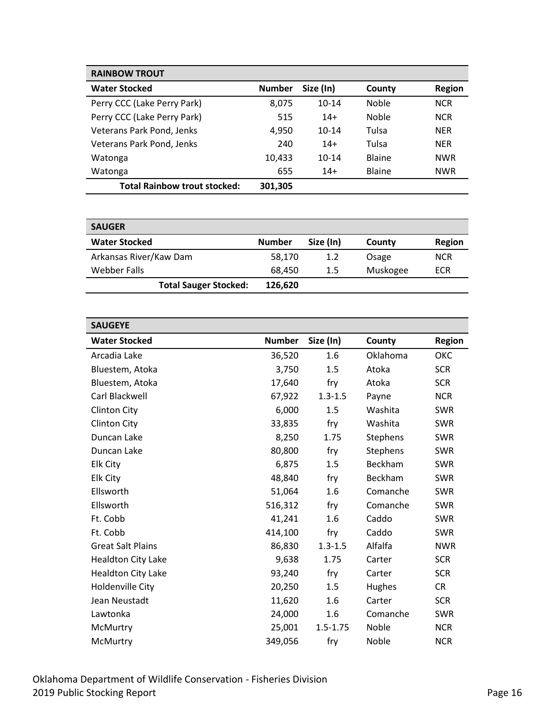| <b>RAINBOW TROUT</b>                |               |           |               |               |
|-------------------------------------|---------------|-----------|---------------|---------------|
| <b>Water Stocked</b>                | <b>Number</b> | Size (In) | County        | <b>Region</b> |
| Perry CCC (Lake Perry Park)         | 8,075         | $10 - 14$ | Noble         | <b>NCR</b>    |
| Perry CCC (Lake Perry Park)         | 515           | $14+$     | Noble         | <b>NCR</b>    |
| Veterans Park Pond, Jenks           | 4,950         | $10-14$   | Tulsa         | <b>NER</b>    |
| Veterans Park Pond, Jenks           | 240           | $14+$     | Tulsa         | <b>NER</b>    |
| Watonga                             | 10,433        | $10 - 14$ | <b>Blaine</b> | <b>NWR</b>    |
| Watonga                             | 655           | $14+$     | <b>Blaine</b> | <b>NWR</b>    |
| <b>Total Rainbow trout stocked:</b> | 301,305       |           |               |               |

<span id="page-15-0"></span>

| <b>SAUGER</b>                |               |           |          |               |
|------------------------------|---------------|-----------|----------|---------------|
| <b>Water Stocked</b>         | <b>Number</b> | Size (In) | County   | <b>Region</b> |
| Arkansas River/Kaw Dam       | 58,170        | 1.2       | Osage    | <b>NCR</b>    |
| Webber Falls                 | 68.450        | 1.5       | Muskogee | ECR           |
| <b>Total Sauger Stocked:</b> | 126,620       |           |          |               |

<span id="page-15-1"></span>

| <b>SAUGEYE</b>            |               |              |          |            |
|---------------------------|---------------|--------------|----------|------------|
| <b>Water Stocked</b>      | <b>Number</b> | Size (In)    | County   | Region     |
| Arcadia Lake              | 36,520        | 1.6          | Oklahoma | ОКС        |
| Bluestem, Atoka           | 3,750         | 1.5          | Atoka    | <b>SCR</b> |
| Bluestem, Atoka           | 17,640        | fry          | Atoka    | <b>SCR</b> |
| Carl Blackwell            | 67,922        | $1.3 - 1.5$  | Payne    | <b>NCR</b> |
| <b>Clinton City</b>       | 6,000         | 1.5          | Washita  | <b>SWR</b> |
| <b>Clinton City</b>       | 33,835        | fry          | Washita  | <b>SWR</b> |
| Duncan Lake               | 8,250         | 1.75         | Stephens | <b>SWR</b> |
| Duncan Lake               | 80,800        | fry          | Stephens | <b>SWR</b> |
| Elk City                  | 6,875         | 1.5          | Beckham  | <b>SWR</b> |
| Elk City                  | 48,840        | fry          | Beckham  | <b>SWR</b> |
| Ellsworth                 | 51,064        | 1.6          | Comanche | <b>SWR</b> |
| Ellsworth                 | 516,312       | fry          | Comanche | <b>SWR</b> |
| Ft. Cobb                  | 41,241        | 1.6          | Caddo    | <b>SWR</b> |
| Ft. Cobb                  | 414,100       | fry          | Caddo    | <b>SWR</b> |
| <b>Great Salt Plains</b>  | 86,830        | $1.3 - 1.5$  | Alfalfa  | <b>NWR</b> |
| <b>Healdton City Lake</b> | 9,638         | 1.75         | Carter   | <b>SCR</b> |
| <b>Healdton City Lake</b> | 93,240        | fry          | Carter   | <b>SCR</b> |
| <b>Holdenville City</b>   | 20,250        | 1.5          | Hughes   | <b>CR</b>  |
| Jean Neustadt             | 11,620        | 1.6          | Carter   | <b>SCR</b> |
| Lawtonka                  | 24,000        | 1.6          | Comanche | <b>SWR</b> |
| McMurtry                  | 25,001        | $1.5 - 1.75$ | Noble    | <b>NCR</b> |
| McMurtry                  | 349,056       | fry          | Noble    | <b>NCR</b> |